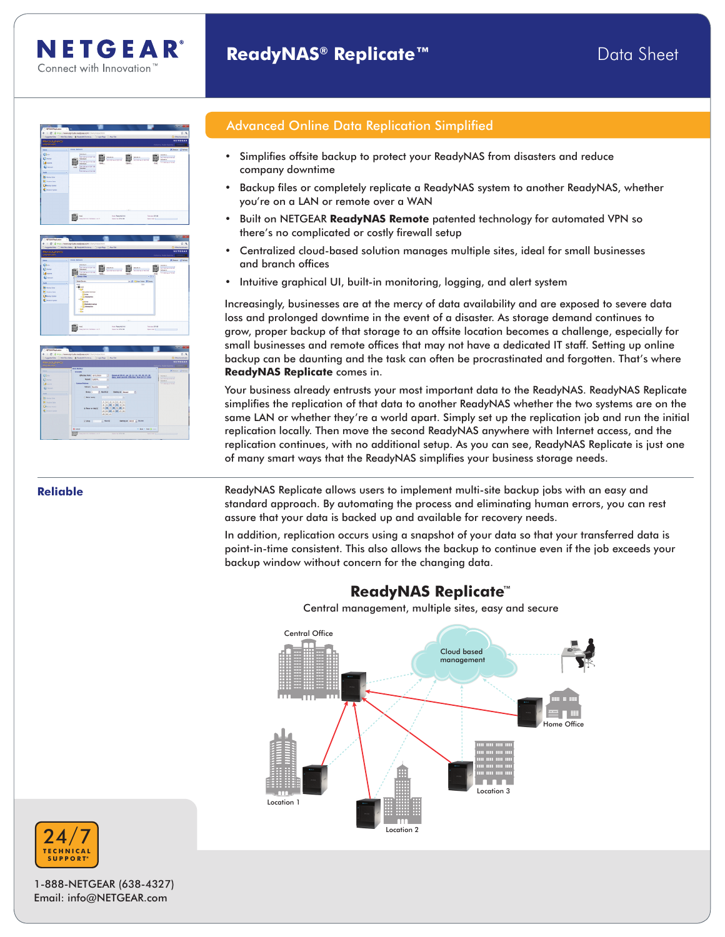

NETGEAR® Connect with Innovation<sup>1</sup>



## Advanced Online Data Replication Simplified

- • Simplifies offsite backup to protect your ReadyNAS from disasters and reduce company downtime
- Backup files or completely replicate a ReadyNAS system to another ReadyNAS, whether you're on a LAN or remote over a WAN
- Built on NETGEAR **ReadyNAS Remote** patented technology for automated VPN so there's no complicated or costly firewall setup
- Centralized cloud-based solution manages multiple sites, ideal for small businesses and branch offices
- Intuitive graphical UI, built-in monitoring, logging, and alert system

Increasingly, businesses are at the mercy of data availability and are exposed to severe data loss and prolonged downtime in the event of a disaster. As storage demand continues to grow, proper backup of that storage to an offsite location becomes a challenge, especially for small businesses and remote offices that may not have a dedicated IT staff. Setting up online backup can be daunting and the task can often be procrastinated and forgotten. That's where **ReadyNAS Replicate** comes in.

Your business already entrusts your most important data to the ReadyNAS. ReadyNAS Replicate simplifies the replication of that data to another ReadyNAS whether the two systems are on the same LAN or whether they're a world apart. Simply set up the replication job and run the initial replication locally. Then move the second ReadyNAS anywhere with Internet access, and the replication continues, with no additional setup. As you can see, ReadyNAS Replicate is just one of many smart ways that the ReadyNAS simplifies your business storage needs.

**Reliable ReadyNAS Replicate allows users to implement multi-site backup jobs with an easy and and the partical conducts** standard approach. By automating the process and eliminating human errors, you can rest assure that your data is backed up and available for recovery needs.

> In addition, replication occurs using a snapshot of your data so that your transferred data is point-in-time consistent. This also allows the backup to continue even if the job exceeds your backup window without concern for the changing data.

## **ReadyNAS Replicate**™

Central management, multiple sites, easy and secure





1-888-NETGEAR (638-4327) Email: info@NETGEAR.com